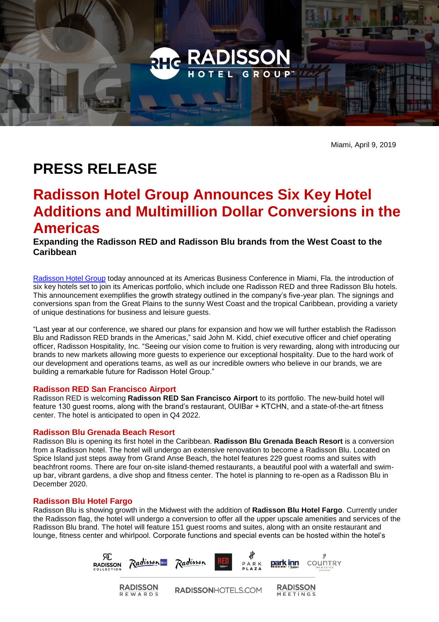

Miami, April 9, 2019

# **PRESS RELEASE**

## **Radisson Hotel Group Announces Six Key Hotel Additions and Multimillion Dollar Conversions in the Americas**

**Expanding the Radisson RED and Radisson Blu brands from the West Coast to the Caribbean** 

[Radisson Hotel Group](https://www.radissonhotelgroup.com/) today announced at its Americas Business Conference in Miami, Fla. the introduction of six key hotels set to join its Americas portfolio, which include one Radisson RED and three Radisson Blu hotels. This announcement exemplifies the growth strategy outlined in the company's five-year plan. The signings and conversions span from the Great Plains to the sunny West Coast and the tropical Caribbean, providing a variety of unique destinations for business and leisure guests.

"Last year at our conference, we shared our plans for expansion and how we will further establish the Radisson Blu and Radisson RED brands in the Americas," said John M. Kidd, chief executive officer and chief operating officer, Radisson Hospitality, Inc. "Seeing our vision come to fruition is very rewarding, along with introducing our brands to new markets allowing more guests to experience our exceptional hospitality. Due to the hard work of our development and operations teams, as well as our incredible owners who believe in our brands, we are building a remarkable future for Radisson Hotel Group."

## **Radisson RED San Francisco Airport**

Radisson RED is welcoming **Radisson RED San Francisco Airport** to its portfolio. The new-build hotel will feature 130 guest rooms, along with the brand's restaurant, OUIBar + KTCHN, and a state-of-the-art fitness center. The hotel is anticipated to open in Q4 2022.

## **Radisson Blu Grenada Beach Resort**

Radisson Blu is opening its first hotel in the Caribbean. **Radisson Blu Grenada Beach Resort** is a conversion from a Radisson hotel. The hotel will undergo an extensive renovation to become a Radisson Blu. Located on Spice Island just steps away from Grand Anse Beach, the hotel features 229 guest rooms and suites with beachfront rooms. There are four on-site island-themed restaurants, a beautiful pool with a waterfall and swimup bar, vibrant gardens, a dive shop and fitness center. The hotel is planning to re-open as a Radisson Blu in December 2020.

## **Radisson Blu Hotel Fargo**

Radisson Blu is showing growth in the Midwest with the addition of **Radisson Blu Hotel Fargo**. Currently under the Radisson flag, the hotel will undergo a conversion to offer all the upper upscale amenities and services of the Radisson Blu brand. The hotel will feature 151 guest rooms and suites, along with an onsite restaurant and lounge, fitness center and whirlpool. Corporate functions and special events can be hosted within the hotel's

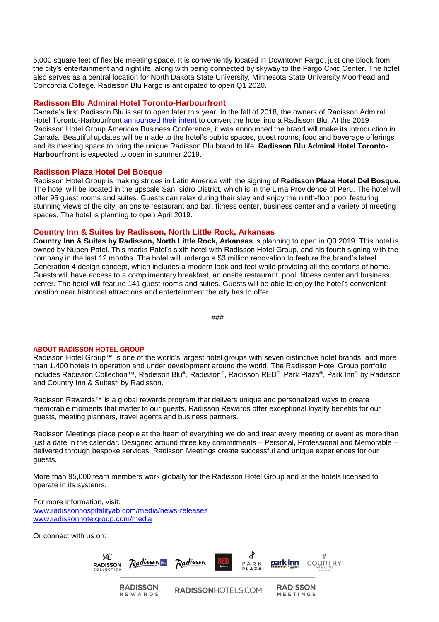5,000 square feet of flexible meeting space. It is conveniently located in Downtown Fargo, just one block from the city's entertainment and nightlife, along with being connected by skyway to the Fargo Civic Center. The hotel also serves as a central location for North Dakota State University, Minnesota State University Moorhead and Concordia College. Radisson Blu Fargo is anticipated to open Q1 2020.

#### **Radisson Blu Admiral Hotel Toronto-Harbourfront**

Canada's first Radisson Blu is set to open later this year. In the fall of 2018, the owners of Radisson Admiral Hotel Toronto-Harbourfront [announced their intent](https://www.radissonhotelgroup.com/media_press-releases&article=radisson-hotel-group-announces-intent-to-open-its-first-radisson-blu-in-canada) to convert the hotel into a Radisson Blu. At the 2019 Radisson Hotel Group Americas Business Conference, it was announced the brand will make its introduction in Canada. Beautiful updates will be made to the hotel's public spaces, guest rooms, food and beverage offerings and its meeting space to bring the unique Radisson Blu brand to life. **Radisson Blu Admiral Hotel Toronto-Harbourfront** is expected to open in summer 2019.

#### **Radisson Plaza Hotel Del Bosque**

Radisson Hotel Group is making strides in Latin America with the signing of **Radisson Plaza Hotel Del Bosque.**  The hotel will be located in the upscale San Isidro District, which is in the Lima Providence of Peru. The hotel will offer 95 guest rooms and suites. Guests can relax during their stay and enjoy the ninth-floor pool featuring stunning views of the city, an onsite restaurant and bar, fitness center, business center and a variety of meeting spaces. The hotel is planning to open April 2019.

## **Country Inn & Suites by Radisson, North Little Rock, Arkansas**

**Country Inn & Suites by Radisson, North Little Rock, Arkansas** is planning to open in Q3 2019. This hotel is owned by Nupen Patel. This marks Patel's sixth hotel with Radisson Hotel Group, and his fourth signing with the company in the last 12 months. The hotel will undergo a \$3 million renovation to feature the brand's latest Generation 4 design concept, which includes a modern look and feel while providing all the comforts of home. Guests will have access to a complimentary breakfast, an onsite restaurant, pool, fitness center and business center. The hotel will feature 141 guest rooms and suites. Guests will be able to enjoy the hotel's convenient location near historical attractions and entertainment the city has to offer.

```
###
```
#### **ABOUT RADISSON HOTEL GROUP**

Radisson Hotel Group™ is one of the world's largest hotel groups with seven distinctive hotel brands, and more than 1,400 hotels in operation and under development around the world. The Radisson Hotel Group portfolio includes Radisson Collection™, Radisson Blu®, Radisson®, Radisson RED®, Park Plaza®, Park Inn® by Radisson and Country Inn & Suites® by Radisson.

Radisson Rewards™ is a global rewards program that delivers unique and personalized ways to create memorable moments that matter to our guests. Radisson Rewards offer exceptional loyalty benefits for our guests, meeting planners, travel agents and business partners.

Radisson Meetings place people at the heart of everything we do and treat every meeting or event as more than just a date in the calendar. Designed around three key commitments – Personal, Professional and Memorable – delivered through bespoke services, Radisson Meetings create successful and unique experiences for our guests.

More than 95,000 team members work globally for the Radisson Hotel Group and at the hotels licensed to operate in its systems.

For more information, visit: [www.radissonhospitalityab.com/media/news-releases](http://www.radissonhospitalityab.com/media/news-releases)  [www.radissonhotelgroup.com/media](http://www.radissonhotelgroup.com/media)

Or connect with us on: